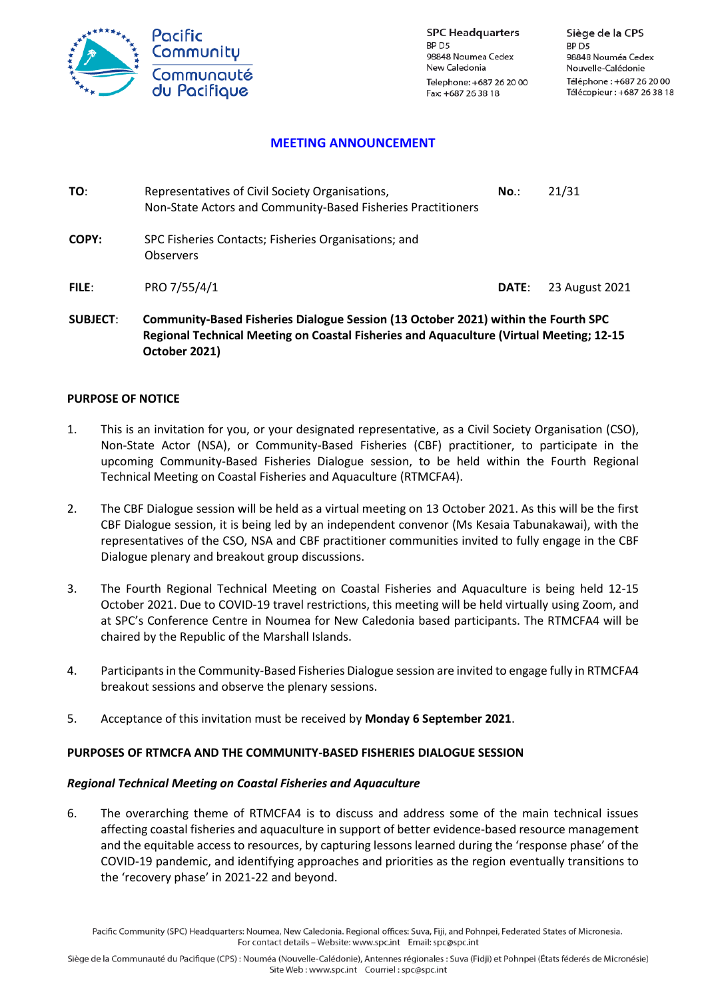

**SPC Headquarters** BP<sub>D5</sub> 98848 Noumea Cedex New Caledonia Telephone: +687 26 20 00 Fax: +687 26 38 18

Siège de la CPS BP<sub>D5</sub> 98848 Nouméa Cedex Nouvelle-Calédonie Téléphone: +687 26 20 00 Télécopieur : +687 26 38 18

# **MEETING ANNOUNCEMENT**

| TO:          | Representatives of Civil Society Organisations,<br>Non-State Actors and Community-Based Fisheries Practitioners | $No.$ : | 21/31          |
|--------------|-----------------------------------------------------------------------------------------------------------------|---------|----------------|
| COPY:        | SPC Fisheries Contacts; Fisheries Organisations; and<br><b>Observers</b>                                        |         |                |
| <b>FILE:</b> | PRO 7/55/4/1                                                                                                    | DATE:   | 23 August 2021 |

**SUBJECT**: **Community-Based Fisheries Dialogue Session (13 October 2021) within the Fourth SPC Regional Technical Meeting on Coastal Fisheries and Aquaculture (Virtual Meeting; 12-15 October 2021)**

## **PURPOSE OF NOTICE**

- 1. This is an invitation for you, or your designated representative, as a Civil Society Organisation (CSO), Non-State Actor (NSA), or Community-Based Fisheries (CBF) practitioner, to participate in the upcoming Community-Based Fisheries Dialogue session, to be held within the Fourth Regional Technical Meeting on Coastal Fisheries and Aquaculture (RTMCFA4).
- 2. The CBF Dialogue session will be held as a virtual meeting on 13 October 2021. As this will be the first CBF Dialogue session, it is being led by an independent convenor (Ms Kesaia Tabunakawai), with the representatives of the CSO, NSA and CBF practitioner communities invited to fully engage in the CBF Dialogue plenary and breakout group discussions.
- 3. The Fourth Regional Technical Meeting on Coastal Fisheries and Aquaculture is being held 12-15 October 2021. Due to COVID-19 travel restrictions, this meeting will be held virtually using Zoom, and at SPC's Conference Centre in Noumea for New Caledonia based participants. The RTMCFA4 will be chaired by the Republic of the Marshall Islands.
- 4. Participants in the Community-Based Fisheries Dialogue session are invited to engage fully in RTMCFA4 breakout sessions and observe the plenary sessions.
- 5. Acceptance of this invitation must be received by **Monday 6 September 2021**.

## **PURPOSES OF RTMCFA AND THE COMMUNITY-BASED FISHERIES DIALOGUE SESSION**

#### *Regional Technical Meeting on Coastal Fisheries and Aquaculture*

6. The overarching theme of RTMCFA4 is to discuss and address some of the main technical issues affecting coastal fisheries and aquaculture in support of better evidence-based resource management and the equitable access to resources, by capturing lessons learned during the 'response phase' of the COVID-19 pandemic, and identifying approaches and priorities as the region eventually transitions to the 'recovery phase' in 2021-22 and beyond.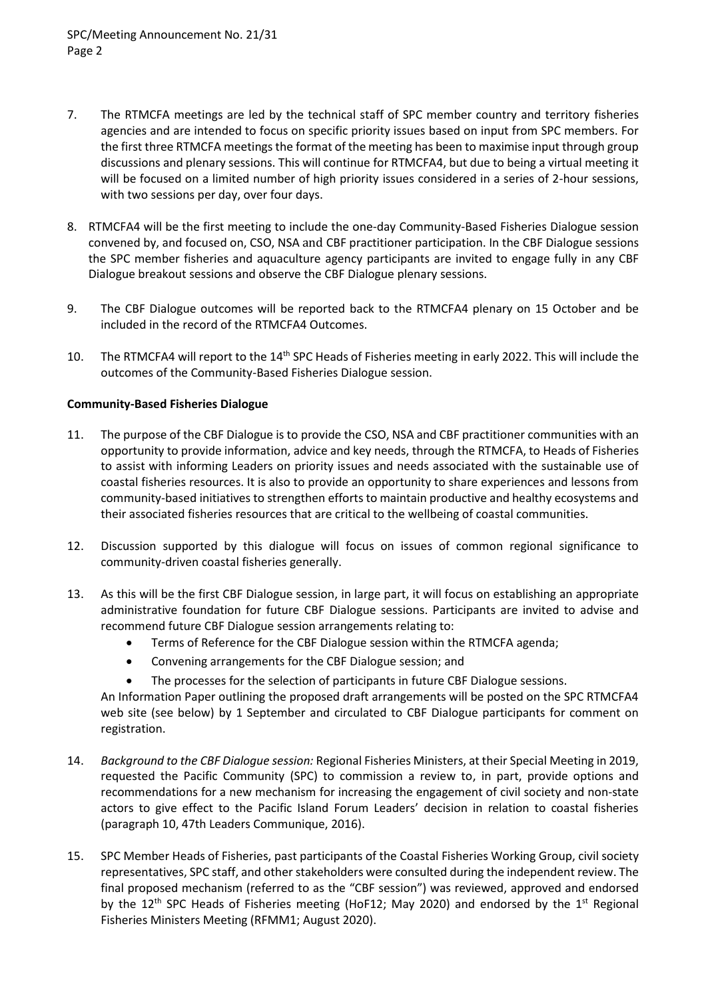- 7. The RTMCFA meetings are led by the technical staff of SPC member country and territory fisheries agencies and are intended to focus on specific priority issues based on input from SPC members. For the first three RTMCFA meetings the format of the meeting has been to maximise input through group discussions and plenary sessions. This will continue for RTMCFA4, but due to being a virtual meeting it will be focused on a limited number of high priority issues considered in a series of 2-hour sessions, with two sessions per day, over four days.
- 8. RTMCFA4 will be the first meeting to include the one-day Community-Based Fisheries Dialogue session convened by, and focused on, CSO, NSA and CBF practitioner participation. In the CBF Dialogue sessions the SPC member fisheries and aquaculture agency participants are invited to engage fully in any CBF Dialogue breakout sessions and observe the CBF Dialogue plenary sessions.
- 9. The CBF Dialogue outcomes will be reported back to the RTMCFA4 plenary on 15 October and be included in the record of the RTMCFA4 Outcomes.
- 10. The RTMCFA4 will report to the  $14<sup>th</sup>$  SPC Heads of Fisheries meeting in early 2022. This will include the outcomes of the Community-Based Fisheries Dialogue session.

# **Community-Based Fisheries Dialogue**

- 11. The purpose of the CBF Dialogue is to provide the CSO, NSA and CBF practitioner communities with an opportunity to provide information, advice and key needs, through the RTMCFA, to Heads of Fisheries to assist with informing Leaders on priority issues and needs associated with the sustainable use of coastal fisheries resources. It is also to provide an opportunity to share experiences and lessons from community-based initiatives to strengthen efforts to maintain productive and healthy ecosystems and their associated fisheries resources that are critical to the wellbeing of coastal communities.
- 12. Discussion supported by this dialogue will focus on issues of common regional significance to community-driven coastal fisheries generally.
- 13. As this will be the first CBF Dialogue session, in large part, it will focus on establishing an appropriate administrative foundation for future CBF Dialogue sessions. Participants are invited to advise and recommend future CBF Dialogue session arrangements relating to:
	- Terms of Reference for the CBF Dialogue session within the RTMCFA agenda;
	- Convening arrangements for the CBF Dialogue session; and
	- The processes for the selection of participants in future CBF Dialogue sessions.

An Information Paper outlining the proposed draft arrangements will be posted on the SPC RTMCFA4 web site (see below) by 1 September and circulated to CBF Dialogue participants for comment on registration.

- 14. *Background to the CBF Dialogue session:* Regional Fisheries Ministers, at their Special Meeting in 2019, requested the Pacific Community (SPC) to commission a review to, in part, provide options and recommendations for a new mechanism for increasing the engagement of civil society and non-state actors to give effect to the Pacific Island Forum Leaders' decision in relation to coastal fisheries (paragraph 10, 47th Leaders Communique, 2016).
- 15. SPC Member Heads of Fisheries, past participants of the Coastal Fisheries Working Group, civil society representatives, SPC staff, and other stakeholders were consulted during the independent review. The final proposed mechanism (referred to as the "CBF session") was reviewed, approved and endorsed by the 12<sup>th</sup> SPC Heads of Fisheries meeting (HoF12; May 2020) and endorsed by the 1<sup>st</sup> Regional Fisheries Ministers Meeting (RFMM1; August 2020).